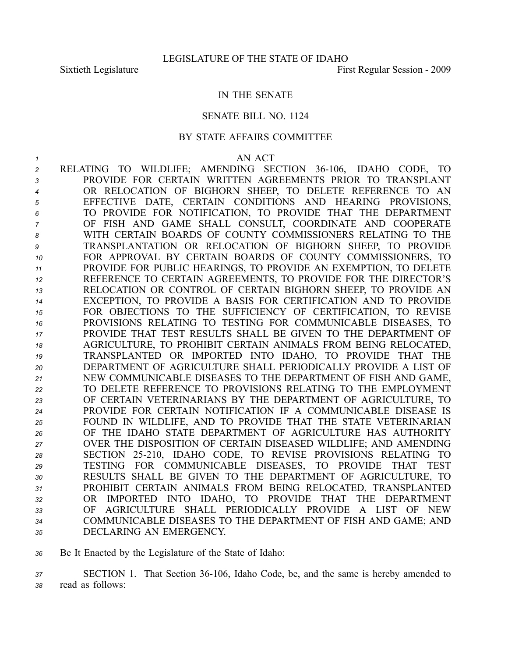## IN THE SENATE

## SENATE BILL NO. 1124

## BY STATE AFFAIRS COMMITTEE

*1* AN ACT RELATING TO WILDLIFE; AMENDING SECTION 36106, IDAHO CODE, TO PROVIDE FOR CERTAIN WRITTEN AGREEMENTS PRIOR TO TRANSPLANT OR RELOCATION OF BIGHORN SHEEP, TO DELETE REFERENCE TO AN EFFECTIVE DATE, CERTAIN CONDITIONS AND HEARING PROVISIONS, TO PROVIDE FOR NOTIFICATION, TO PROVIDE THAT THE DEPARTMENT OF FISH AND GAME SHALL CONSULT, COORDINATE AND COOPERATE WITH CERTAIN BOARDS OF COUNTY COMMISSIONERS RELATING TO THE TRANSPLANTATION OR RELOCATION OF BIGHORN SHEEP, TO PROVIDE FOR APPROVAL BY CERTAIN BOARDS OF COUNTY COMMISSIONERS, TO PROVIDE FOR PUBLIC HEARINGS, TO PROVIDE AN EXEMPTION, TO DELETE REFERENCE TO CERTAIN AGREEMENTS, TO PROVIDE FOR THE DIRECTOR'S RELOCATION OR CONTROL OF CERTAIN BIGHORN SHEEP, TO PROVIDE AN EXCEPTION, TO PROVIDE A BASIS FOR CERTIFICATION AND TO PROVIDE FOR OBJECTIONS TO THE SUFFICIENCY OF CERTIFICATION, TO REVISE PROVISIONS RELATING TO TESTING FOR COMMUNICABLE DISEASES, TO PROVIDE THAT TEST RESULTS SHALL BE GIVEN TO THE DEPARTMENT OF AGRICULTURE, TO PROHIBIT CERTAIN ANIMALS FROM BEING RELOCATED, TRANSPLANTED OR IMPORTED INTO IDAHO, TO PROVIDE THAT THE DEPARTMENT OF AGRICULTURE SHALL PERIODICALLY PROVIDE A LIST OF NEW COMMUNICABLE DISEASES TO THE DEPARTMENT OF FISH AND GAME, TO DELETE REFERENCE TO PROVISIONS RELATING TO THE EMPLOYMENT OF CERTAIN VETERINARIANS BY THE DEPARTMENT OF AGRICULTURE, TO PROVIDE FOR CERTAIN NOTIFICATION IF A COMMUNICABLE DISEASE IS FOUND IN WILDLIFE, AND TO PROVIDE THAT THE STATE VETERINARIAN OF THE IDAHO STATE DEPARTMENT OF AGRICULTURE HAS AUTHORITY OVER THE DISPOSITION OF CERTAIN DISEASED WILDLIFE; AND AMENDING 28 SECTION 25-210, IDAHO CODE, TO REVISE PROVISIONS RELATING TO TESTING FOR COMMUNICABLE DISEASES, TO PROVIDE THAT TEST RESULTS SHALL BE GIVEN TO THE DEPARTMENT OF AGRICULTURE, TO PROHIBIT CERTAIN ANIMALS FROM BEING RELOCATED, TRANSPLANTED OR IMPORTED INTO IDAHO, TO PROVIDE THAT THE DEPARTMENT OF AGRICULTURE SHALL PERIODICALLY PROVIDE A LIST OF NEW COMMUNICABLE DISEASES TO THE DEPARTMENT OF FISH AND GAME; AND DECLARING AN EMERGENCY.

*<sup>36</sup>* Be It Enacted by the Legislature of the State of Idaho:

*<sup>37</sup>* SECTION 1. That Section 36106, Idaho Code, be, and the same is hereby amended to *<sup>38</sup>* read as follows: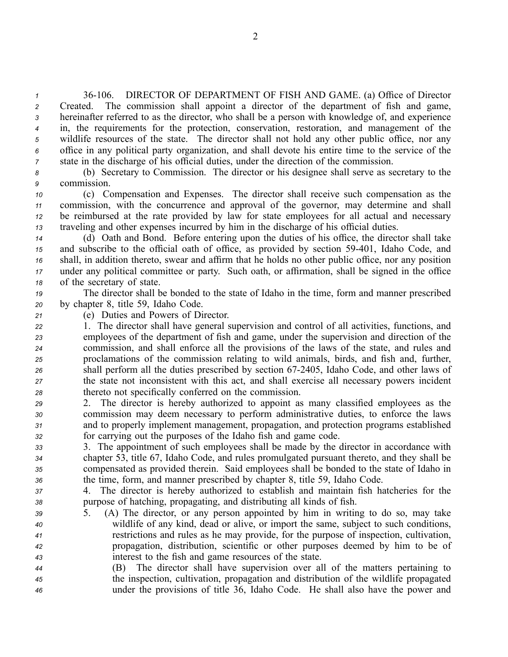36106. DIRECTOR OF DEPARTMENT OF FISH AND GAME. (a) Office of Director Created. The commission shall appoint <sup>a</sup> director of the department of fish and game, hereinafter referred to as the director, who shall be <sup>a</sup> person with knowledge of, and experience in, the requirements for the protection, conservation, restoration, and managemen<sup>t</sup> of the wildlife resources of the state. The director shall not hold any other public office, nor any office in any political party organization, and shall devote his entire time to the service of the state in the discharge of his official duties, under the direction of the commission.

- *<sup>8</sup>* (b) Secretary to Commission. The director or his designee shall serve as secretary to the *<sup>9</sup>* commission.
- *<sup>10</sup>* (c) Compensation and Expenses. The director shall receive such compensation as the *<sup>11</sup>* commission, with the concurrence and approval of the governor, may determine and shall *<sup>12</sup>* be reimbursed at the rate provided by law for state employees for all actual and necessary *<sup>13</sup>* traveling and other expenses incurred by him in the discharge of his official duties.
- *<sup>14</sup>* (d) Oath and Bond. Before entering upon the duties of his office, the director shall take *<sup>15</sup>* and subscribe to the official oath of office, as provided by section 59401, Idaho Code, and *<sup>16</sup>* shall, in addition thereto, swear and affirm that he holds no other public office, nor any position *<sup>17</sup>* under any political committee or party. Such oath, or affirmation, shall be signed in the office *<sup>18</sup>* of the secretary of state.
- *<sup>19</sup>* The director shall be bonded to the state of Idaho in the time, form and manner prescribed *<sup>20</sup>* by chapter 8, title 59, Idaho Code.

*<sup>21</sup>* (e) Duties and Powers of Director.

- *<sup>22</sup>* 1. The director shall have general supervision and control of all activities, functions, and *<sup>23</sup>* employees of the department of fish and game, under the supervision and direction of the *<sup>24</sup>* commission, and shall enforce all the provisions of the laws of the state, and rules and *<sup>25</sup>* proclamations of the commission relating to wild animals, birds, and fish and, further, *<sup>26</sup>* shall perform all the duties prescribed by section 672405, Idaho Code, and other laws of *<sup>27</sup>* the state not inconsistent with this act, and shall exercise all necessary powers incident *<sup>28</sup>* thereto not specifically conferred on the commission.
- *<sup>29</sup>* 2. The director is hereby authorized to appoint as many classified employees as the *<sup>30</sup>* commission may deem necessary to perform administrative duties, to enforce the laws *<sup>31</sup>* and to properly implement management, propagation, and protection programs established *<sup>32</sup>* for carrying out the purposes of the Idaho fish and game code.
- *<sup>33</sup>* 3. The appointment of such employees shall be made by the director in accordance with *<sup>34</sup>* chapter 53, title 67, Idaho Code, and rules promulgated pursuan<sup>t</sup> thereto, and they shall be *<sup>35</sup>* compensated as provided therein. Said employees shall be bonded to the state of Idaho in *<sup>36</sup>* the time, form, and manner prescribed by chapter 8, title 59, Idaho Code.
- *<sup>37</sup>* 4. The director is hereby authorized to establish and maintain fish hatcheries for the *<sup>38</sup>* purpose of hatching, propagating, and distributing all kinds of fish.
- *<sup>39</sup>* 5. (A) The director, or any person appointed by him in writing to do so, may take *<sup>40</sup>* wildlife of any kind, dead or alive, or import the same, subject to such conditions, *<sup>41</sup>* restrictions and rules as he may provide, for the purpose of inspection, cultivation, *<sup>42</sup>* propagation, distribution, scientific or other purposes deemed by him to be of *<sup>43</sup>* interest to the fish and game resources of the state.
- *<sup>44</sup>* (B) The director shall have supervision over all of the matters pertaining to *<sup>45</sup>* the inspection, cultivation, propagation and distribution of the wildlife propagated *<sup>46</sup>* under the provisions of title 36, Idaho Code. He shall also have the power and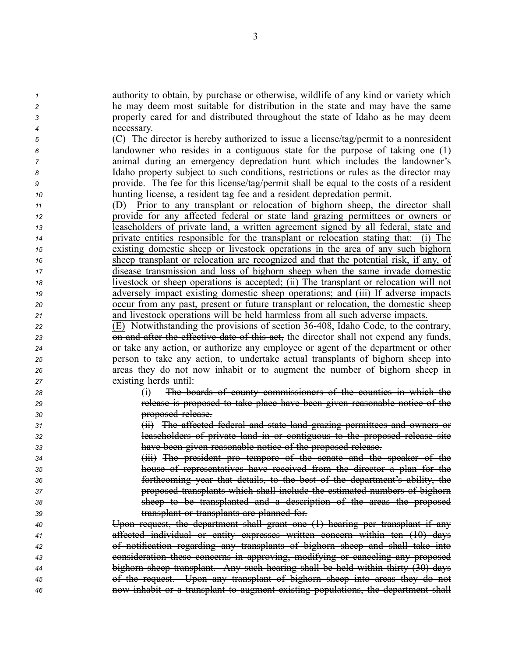authority to obtain, by purchase or otherwise, wildlife of any kind or variety which he may deem most suitable for distribution in the state and may have the same properly cared for and distributed throughout the state of Idaho as he may deem necessary. (C) The director is hereby authorized to issue <sup>a</sup> license/tag/permit to <sup>a</sup> nonresident landowner who resides in <sup>a</sup> contiguous state for the purpose of taking one (1) animal during an emergency depredation hunt which includes the landowner's Idaho property subject to such conditions, restrictions or rules as the director may provide. The fee for this license/tag/permit shall be equal to the costs of <sup>a</sup> resident hunting license, <sup>a</sup> resident tag fee and <sup>a</sup> resident depredation permit. (D) Prior to any transplant or relocation of bighorn sheep, the director shall provide for any affected federal or state land grazing permittees or owners or leaseholders of private land, <sup>a</sup> written agreemen<sup>t</sup> signed by all federal, state and private entities responsible for the transplant or relocation stating that: (i) The existing domestic sheep or livestock operations in the area of any such bighorn sheep transplant or relocation are recognized and that the potential risk, if any, of disease transmission and loss of bighorn sheep when the same invade domestic livestock or sheep operations is accepted; (ii) The transplant or relocation will not adversely impact existing domestic sheep operations; and (iii) If adverse impacts occur from any past, presen<sup>t</sup> or future transplant or relocation, the domestic sheep and livestock operations will be held harmless from all such adverse impacts. (E) Notwithstanding the provisions of section 36408, Idaho Code, to the contrary, on and after the effective date of this act, the director shall not expend any funds, or take any action, or authorize any employee or agen<sup>t</sup> of the department or other person to take any action, to undertake actual transplants of bighorn sheep into areas they do not now inhabit or to augmen<sup>t</sup> the number of bighorn sheep in existing herds until: (i) The boards of county commissioners of the counties in which the release is proposed to take place have been given reasonable notice of the proposed release. (ii) The affected federal and state land grazing permittees and owners or leaseholders of private land in or contiguous to the proposed release site have been given reasonable notice of the proposed release. (iii) The president pro tempore of the senate and the speaker of the house of representatives have received from the director <sup>a</sup> plan for the forthcoming year that details, to the best of the department's ability, the proposed transplants which shall include the estimated numbers of bighorn sheep to be transplanted and <sup>a</sup> description of the areas the proposed transplant or transplants are planned for. Upon request, the department shall gran<sup>t</sup> one (1) hearing per transplant if any affected individual or entity expresses written concern within ten (10) days of notification regarding any transplants of bighorn sheep and shall take into consideration these concerns in approving, modifying or canceling any proposed bighorn sheep transplant. Any such hearing shall be held within thirty (30) days of the request. Upon any transplant of bighorn sheep into areas they do not now inhabit or <sup>a</sup> transplant to augmen<sup>t</sup> existing populations, the department shall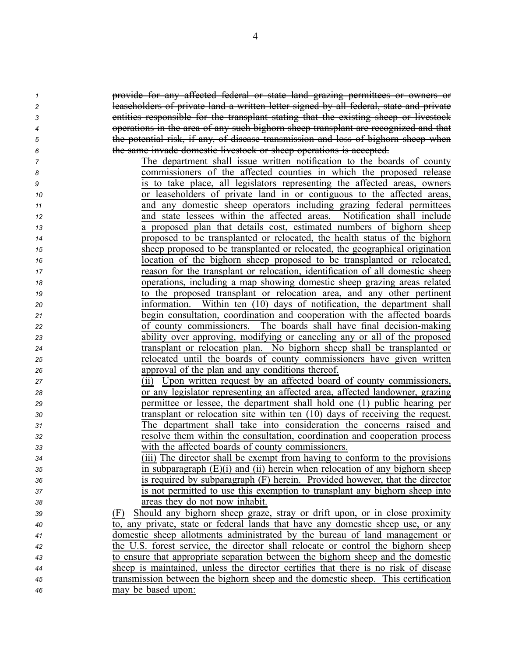provide for any affected federal or state land grazing permittees or owners or leaseholders of private land <sup>a</sup> written letter signed by all federal, state and private entities responsible for the transplant stating that the existing sheep or livestock operations in the area of any such bighorn sheep transplant are recognized and that the potential risk, if any, of disease transmission and loss of bighorn sheep when the same invade domestic livestock or sheep operations is accepted.

 The department shall issue written notification to the boards of county commissioners of the affected counties in which the proposed release is to take place, all legislators representing the affected areas, owners or leaseholders of private land in or contiguous to the affected areas, and any domestic sheep operators including grazing federal permittees and state lessees within the affected areas. Notification shall include <sup>a</sup> proposed plan that details cost, estimated numbers of bighorn sheep proposed to be transplanted or relocated, the health status of the bighorn sheep proposed to be transplanted or relocated, the geographical origination location of the bighorn sheep proposed to be transplanted or relocated, reason for the transplant or relocation, identification of all domestic sheep operations, including <sup>a</sup> map showing domestic sheep grazing areas related to the proposed transplant or relocation area, and any other pertinent information. Within ten (10) days of notification, the department shall begin consultation, coordination and cooperation with the affected boards 22 of county commissioners. The boards shall have final decision-making ability over approving, modifying or canceling any or all of the proposed transplant or relocation plan. No bighorn sheep shall be transplanted or relocated until the boards of county commissioners have given written approval of the plan and any conditions thereof. (ii) Upon written reques<sup>t</sup> by an affected board of county commissioners,

 or any legislator representing an affected area, affected landowner, grazing permittee or lessee, the department shall hold one (1) public hearing per transplant or relocation site within ten (10) days of receiving the request. The department shall take into consideration the concerns raised and resolve them within the consultation, coordination and cooperation process with the affected boards of county commissioners.

 (iii) The director shall be exemp<sup>t</sup> from having to conform to the provisions in subparagraph (E)(i) and (ii) herein when relocation of any bighorn sheep is required by subparagraph (F) herein. Provided however, that the director is not permitted to use this exemption to transplant any bighorn sheep into areas they do not now inhabit.

 (F) Should any bighorn sheep graze, stray or drift upon, or in close proximity to, any private, state or federal lands that have any domestic sheep use, or any domestic sheep allotments administrated by the bureau of land managemen<sup>t</sup> or the U.S. forest service, the director shall relocate or control the bighorn sheep to ensure that appropriate separation between the bighorn sheep and the domestic sheep is maintained, unless the director certifies that there is no risk of disease transmission between the bighorn sheep and the domestic sheep. This certification may be based upon: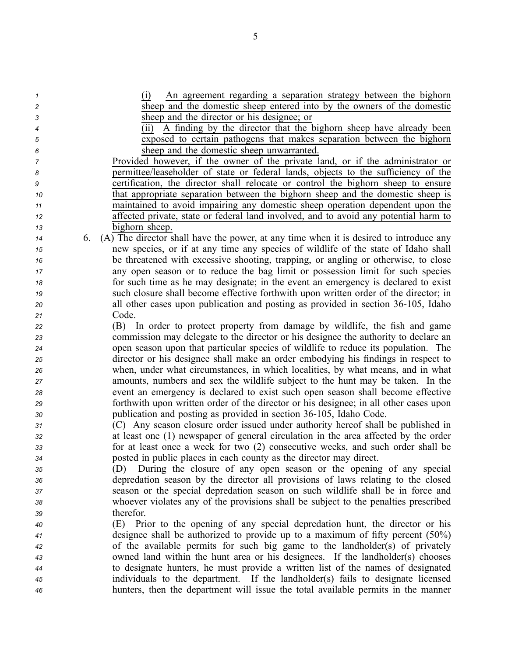- *<sup>1</sup>* (i) An agreemen<sup>t</sup> regarding <sup>a</sup> separation strategy between the bighorn *<sup>2</sup>* sheep and the domestic sheep entered into by the owners of the domestic *<sup>3</sup>* sheep and the director or his designee; or *<sup>4</sup>* (ii) A finding by the director that the bighorn sheep have already been *<sup>5</sup>* exposed to certain pathogens that makes separation between the bighorn *<sup>6</sup>* sheep and the domestic sheep unwarranted. *<sup>7</sup>* Provided however, if the owner of the private land, or if the administrator or *<sup>8</sup>* permittee/leaseholder of state or federal lands, objects to the sufficiency of the *<sup>9</sup>* certification, the director shall relocate or control the bighorn sheep to ensure *<sup>10</sup>* that appropriate separation between the bighorn sheep and the domestic sheep is *<sup>11</sup>* maintained to avoid impairing any domestic sheep operation dependent upon the *<sup>12</sup>* affected private, state or federal land involved, and to avoid any potential harm to *<sup>13</sup>* bighorn sheep. *<sup>14</sup>* 6. (A) The director shall have the power, at any time when it is desired to introduce any *<sup>15</sup>* new species, or if at any time any species of wildlife of the state of Idaho shall *<sup>16</sup>* be threatened with excessive shooting, trapping, or angling or otherwise, to close *<sup>17</sup>* any open season or to reduce the bag limit or possession limit for such species *<sup>18</sup>* for such time as he may designate; in the event an emergency is declared to exist *<sup>19</sup>* such closure shall become effective forthwith upon written order of the director; in *20* all other cases upon publication and posting as provided in section 36-105, Idaho *<sup>21</sup>* Code. *<sup>22</sup>* (B) In order to protect property from damage by wildlife, the fish and game *<sup>23</sup>* commission may delegate to the director or his designee the authority to declare an *<sup>24</sup>* open season upon that particular species of wildlife to reduce its population. The *<sup>25</sup>* director or his designee shall make an order embodying his findings in respec<sup>t</sup> to *<sup>26</sup>* when, under what circumstances, in which localities, by what means, and in what *<sup>27</sup>* amounts, numbers and sex the wildlife subject to the hunt may be taken. In the *<sup>28</sup>* event an emergency is declared to exist such open season shall become effective *<sup>29</sup>* forthwith upon written order of the director or his designee; in all other cases upon *<sup>30</sup>* publication and posting as provided in section 36105, Idaho Code. *<sup>31</sup>* (C) Any season closure order issued under authority hereof shall be published in *<sup>32</sup>* at least one (1) newspaper of general circulation in the area affected by the order *<sup>33</sup>* for at least once <sup>a</sup> week for two (2) consecutive weeks, and such order shall be *<sup>34</sup>* posted in public places in each county as the director may direct. *<sup>35</sup>* (D) During the closure of any open season or the opening of any special *<sup>36</sup>* depredation season by the director all provisions of laws relating to the closed *<sup>37</sup>* season or the special depredation season on such wildlife shall be in force and *<sup>38</sup>* whoever violates any of the provisions shall be subject to the penalties prescribed *<sup>39</sup>* therefor. *<sup>40</sup>* (E) Prior to the opening of any special depredation hunt, the director or his *<sup>41</sup>* designee shall be authorized to provide up to <sup>a</sup> maximum of fifty percen<sup>t</sup> (50%) *<sup>42</sup>* of the available permits for such big game to the landholder(s) of privately *<sup>43</sup>* owned land within the hunt area or his designees. If the landholder(s) chooses *<sup>44</sup>* to designate hunters, he must provide <sup>a</sup> written list of the names of designated *<sup>45</sup>* individuals to the department. If the landholder(s) fails to designate licensed *<sup>46</sup>* hunters, then the department will issue the total available permits in the manner
- 5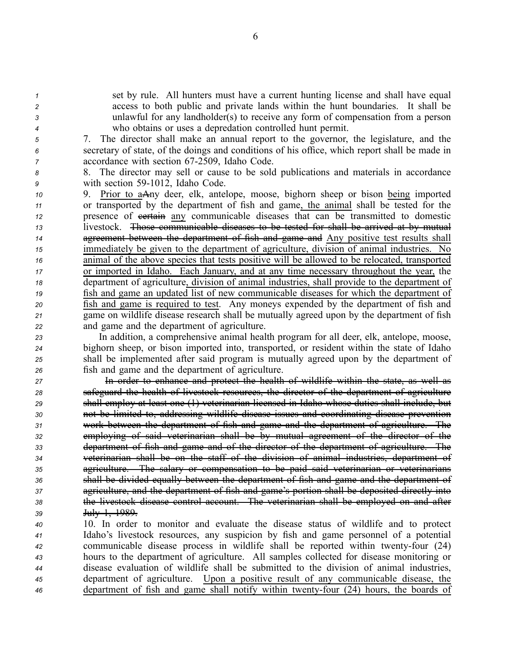set by rule. All hunters must have <sup>a</sup> current hunting license and shall have equal access to both public and private lands within the hunt boundaries. It shall be unlawful for any landholder(s) to receive any form of compensation from <sup>a</sup> person who obtains or uses <sup>a</sup> depredation controlled hunt permit.

*<sup>5</sup>* 7. The director shall make an annual repor<sup>t</sup> to the governor, the legislature, and the *<sup>6</sup>* secretary of state, of the doings and conditions of his office, which repor<sup>t</sup> shall be made in *7* accordance with section 67-2509, Idaho Code.

*<sup>8</sup>* 8. The director may sell or cause to be sold publications and materials in accordance *<sup>9</sup>* with section 591012, Idaho Code.

 9. Prior to aAny deer, elk, antelope, moose, bighorn sheep or bison being imported or transported by the department of fish and game, the animal shall be tested for the presence of certain any communicable diseases that can be transmitted to domestic livestock. Those communicable diseases to be tested for shall be arrived at by mutual agreemen<sup>t</sup> between the department of fish and game and Any positive test results shall immediately be given to the department of agriculture, division of animal industries. No animal of the above species that tests positive will be allowed to be relocated, transported or imported in Idaho. Each January, and at any time necessary throughout the year, the department of agriculture, division of animal industries, shall provide to the department of fish and game an updated list of new communicable diseases for which the department of fish and game is required to test. Any moneys expended by the department of fish and game on wildlife disease research shall be mutually agreed upon by the department of fish and game and the department of agriculture.

 In addition, <sup>a</sup> comprehensive animal health program for all deer, elk, antelope, moose, bighorn sheep, or bison imported into, transported, or resident within the state of Idaho shall be implemented after said program is mutually agreed upon by the department of fish and game and the department of agriculture.

 In order to enhance and protect the health of wildlife within the state, as well as safeguard the health of livestock resources, the director of the department of agriculture shall employ at least one (1) veterinarian licensed in Idaho whose duties shall include, but not be limited to, addressing wildlife disease issues and coordinating disease prevention work between the department of fish and game and the department of agriculture. The employing of said veterinarian shall be by mutual agreemen<sup>t</sup> of the director of the department of fish and game and of the director of the department of agriculture. The veterinarian shall be on the staff of the division of animal industries, department of agriculture. The salary or compensation to be paid said veterinarian or veterinarians shall be divided equally between the department of fish and game and the department of agriculture, and the department of fish and game's portion shall be deposited directly into the livestock disease control account. The veterinarian shall be employed on and after July 1, 1989.

 10. In order to monitor and evaluate the disease status of wildlife and to protect Idaho's livestock resources, any suspicion by fish and game personnel of <sup>a</sup> potential communicable disease process in wildlife shall be reported within twentyfour (24) hours to the department of agriculture. All samples collected for disease monitoring or disease evaluation of wildlife shall be submitted to the division of animal industries, department of agriculture. Upon <sup>a</sup> positive result of any communicable disease, the department of fish and game shall notify within twenty-four (24) hours, the boards of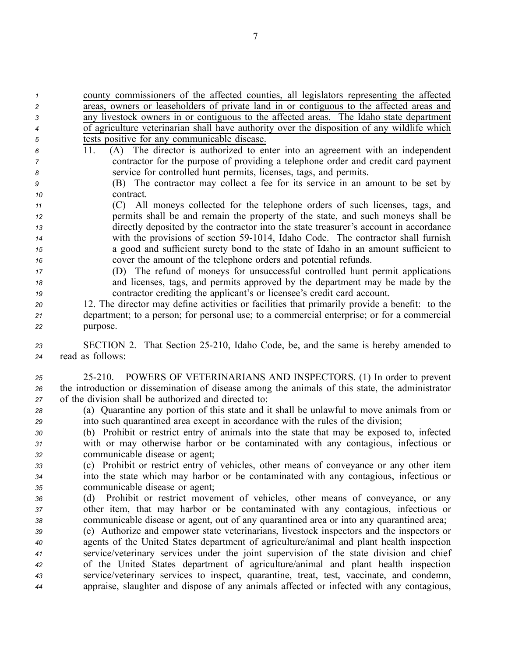county commissioners of the affected counties, all legislators representing the affected areas, owners or leaseholders of private land in or contiguous to the affected areas and any livestock owners in or contiguous to the affected areas. The Idaho state department of agriculture veterinarian shall have authority over the disposition of any wildlife which tests positive for any communicable disease. 11. (A) The director is authorized to enter into an agreemen<sup>t</sup> with an independent contractor for the purpose of providing <sup>a</sup> telephone order and credit card paymen<sup>t</sup> service for controlled hunt permits, licenses, tags, and permits. (B) The contractor may collect <sup>a</sup> fee for its service in an amount to be set by contract. (C) All moneys collected for the telephone orders of such licenses, tags, and permits shall be and remain the property of the state, and such moneys shall be directly deposited by the contractor into the state treasurer's account in accordance with the provisions of section 591014, Idaho Code. The contractor shall furnish <sup>a</sup> good and sufficient surety bond to the state of Idaho in an amount sufficient to cover the amount of the telephone orders and potential refunds. (D) The refund of moneys for unsuccessful controlled hunt permit applications and licenses, tags, and permits approved by the department may be made by the contractor crediting the applicant's or licensee's credit card account. 12. The director may define activities or facilities that primarily provide <sup>a</sup> benefit: to the department; to <sup>a</sup> person; for personal use; to <sup>a</sup> commercial enterprise; or for <sup>a</sup> commercial *<sup>22</sup>* purpose. SECTION 2. That Section 25210, Idaho Code, be, and the same is hereby amended to read as follows: 25210. POWERS OF VETERINARIANS AND INSPECTORS. (1) In order to preven<sup>t</sup> the introduction or dissemination of disease among the animals of this state, the administrator of the division shall be authorized and directed to: (a) Quarantine any portion of this state and it shall be unlawful to move animals from or into such quarantined area excep<sup>t</sup> in accordance with the rules of the division; (b) Prohibit or restrict entry of animals into the state that may be exposed to, infected with or may otherwise harbor or be contaminated with any contagious, infectious or communicable disease or agent; (c) Prohibit or restrict entry of vehicles, other means of conveyance or any other item into the state which may harbor or be contaminated with any contagious, infectious or communicable disease or agent; (d) Prohibit or restrict movement of vehicles, other means of conveyance, or any other item, that may harbor or be contaminated with any contagious, infectious or communicable disease or agent, out of any quarantined area or into any quarantined area; (e) Authorize and empower state veterinarians, livestock inspectors and the inspectors or agents of the United States department of agriculture/animal and plant health inspection service/veterinary services under the joint supervision of the state division and chief of the United States department of agriculture/animal and plant health inspection service/veterinary services to inspect, quarantine, treat, test, vaccinate, and condemn, appraise, slaughter and dispose of any animals affected or infected with any contagious,

7